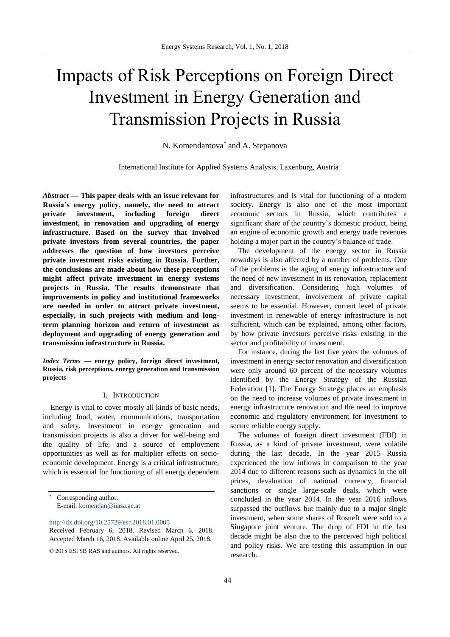# Impacts of Risk Perceptions on Foreign Direct Investment in Energy Generation and Transmission Projects in Russia

N. Komendantova\* and A. Stepanova

International Institute for Applied Systems Analysis, Laxenburg, Austria

*Abstract* **— This paper deals with an issue relevant for Russia's energy policy, namely, the need to attract private investment, including foreign direct investment, in renovation and upgrading of energy infrastructure. Based on the survey that involved private investors from several countries, the paper addresses the question of how investors perceive private investment risks existing in Russia. Further, the conclusions are made about how these perceptions might affect private investment in energy systems projects in Russia. The results demonstrate that improvements in policy and institutional frameworks are needed in order to attract private investment, especially, in such projects with medium and longterm planning horizon and return of investment as deployment and upgrading of energy generation and transmission infrastructure in Russia.** 

*Index Terms* **— energy policy, foreign direct investment, Russia, risk perceptions, energy generation and transmission projects**

### I. INTRODUCTION

Energy is vital to cover mostly all kinds of basic needs, including food, water, communications, transportation and safety. Investment in energy generation and transmission projects is also a driver for well-being and the quality of life, and a source of employment opportunities as well as for multiplier effects on socioeconomic development. Energy is a critical infrastructure, which is essential for functioning of all energy dependent

<http://dx.doi.org/10.25729/esr.2018.01.0005>

Received February 6, 2018. Revised March 6, 2018. Accepted March 16, 2018. Available online April 25, 2018.

infrastructures and is vital for functioning of a modern society. Energy is also one of the most important economic sectors in Russia, which contributes a significant share of the country's domestic product, being an engine of economic growth and energy trade revenues holding a major part in the country's balance of trade.

The development of the energy sector in Russia nowadays is also affected by a number of problems. One of the problems is the aging of energy infrastructure and the need of new investment in its renovation, replacement and diversification. Considering high volumes of necessary investment, involvement of private capital seems to be essential. However, current level of private investment in renewable of energy infrastructure is not sufficient, which can be explained, among other factors, by how private investors perceive risks existing in the sector and profitability of investment.

For instance, during the last five years the volumes of investment in energy sector renovation and diversification were only around 60 percent of the necessary volumes identified by the Energy Strategy of the Russian Federation [1]. The Energy Strategy places an emphasis on the need to increase volumes of private investment in energy infrastructure renovation and the need to improve economic and regulatory environment for investment to secure reliable energy supply.

The volumes of foreign direct investment (FDI) in Russia, as a kind of private investment, were volatile during the last decade. In the year 2015 Russia experienced the low inflows in comparison to the year 2014 due to different reasons such as dynamics in the oil prices, devaluation of national currency, financial sanctions or single large-scale deals, which were concluded in the year 2014. In the year 2016 inflows surpassed the outflows but mainly due to a major single investment, when some shares of Rosneft were sold to a Singapore joint venture. The drop of FDI in the last decade might be also due to the perceived high political and policy risks. We are testing this assumption in our research.

Corresponding author. E-mail[: komendan@iiasa.ac.at](mailto:komendan@iiasa.ac.at)

<sup>© 2018</sup> ESI SB RAS and authors. All rights reserved.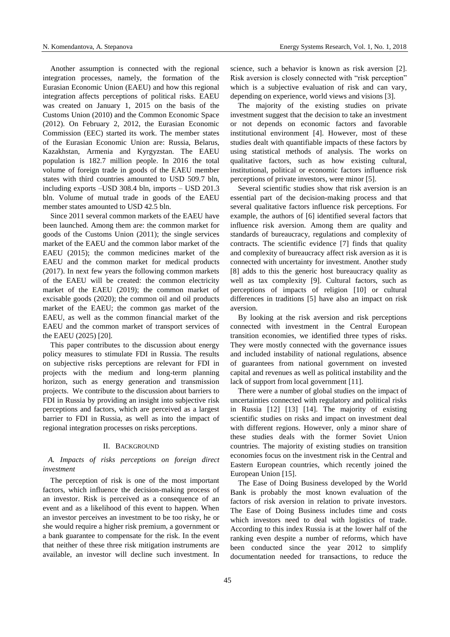Another assumption is connected with the regional integration processes, namely, the formation of the Eurasian Economic Union (EAEU) and how this regional integration affects perceptions of political risks. EAEU was created on January 1, 2015 on the basis of the Customs Union (2010) and the Common Economic Space (2012). On February 2, 2012, the Eurasian Economic Commission (EEC) started its work. The member states of the Eurasian Economic Union are: Russia, Belarus, Kazakhstan, Armenia and Kyrgyzstan. The EAEU population is 182.7 million people. In 2016 the total volume of foreign trade in goods of the EAEU member states with third countries amounted to USD 509.7 bln, including exports –USD 308.4 bln, imports – USD 201.3 bln. Volume of mutual trade in goods of the EAEU member states amounted to USD 42.5 bln.

Since 2011 several common markets of the EAEU have been launched. Among them are: the common market for goods of the Customs Union (2011); the single services market of the EAEU and the common labor market of the EAEU (2015); the common medicines market of the EAEU and the common market for medical products (2017). In next few years the following common markets of the EAEU will be created: the common electricity market of the EAEU (2019); the common market of excisable goods (2020); the common oil and oil products market of the EAEU; the common gas market of the EAEU, as well as the common financial market of the EAEU and the common market of transport services of the EAEU (2025) [20].

This paper contributes to the discussion about energy policy measures to stimulate FDI in Russia. The results on subjective risks perceptions are relevant for FDI in projects with the medium and long-term planning horizon, such as energy generation and transmission projects. We contribute to the discussion about barriers to FDI in Russia by providing an insight into subjective risk perceptions and factors, which are perceived as a largest barrier to FDI in Russia, as well as into the impact of regional integration processes on risks perceptions.

## II. BACKGROUND

# *A. Impacts of risks perceptions on foreign direct investment*

The perception of risk is one of the most important factors, which influence the decision-making process of an investor. Risk is perceived as a consequence of an event and as a likelihood of this event to happen. When an investor perceives an investment to be too risky, he or she would require a higher risk premium, a government or a bank guarantee to compensate for the risk. In the event that neither of these three risk mitigation instruments are available, an investor will decline such investment. In science, such a behavior is known as risk aversion [2]. Risk aversion is closely connected with "risk perception" which is a subjective evaluation of risk and can vary, depending on experience, world views and visions [3].

The majority of the existing studies on private investment suggest that the decision to take an investment or not depends on economic factors and favorable institutional environment [4]. However, most of these studies dealt with quantifiable impacts of these factors by using statistical methods of analysis. The works on qualitative factors, such as how existing cultural, institutional, political or economic factors influence risk perceptions of private investors, were minor [5].

Several scientific studies show that risk aversion is an essential part of the decision-making process and that several qualitative factors influence risk perceptions. For example, the authors of [6] identified several factors that influence risk aversion. Among them are quality and standards of bureaucracy, regulations and complexity of contracts. The scientific evidence [7] finds that quality and complexity of bureaucracy affect risk aversion as it is connected with uncertainty for investment. Another study [8] adds to this the generic host bureaucracy quality as well as tax complexity [9]. Cultural factors, such as perceptions of impacts of religion [10] or cultural differences in traditions [5] have also an impact on risk aversion.

By looking at the risk aversion and risk perceptions connected with investment in the Central European transition economies, we identified three types of risks. They were mostly connected with the governance issues and included instability of national regulations, absence of guarantees from national government on invested capital and revenues as well as political instability and the lack of support from local government [11].

There were a number of global studies on the impact of uncertainties connected with regulatory and political risks in Russia [12] [13] [14]. The majority of existing scientific studies on risks and impact on investment deal with different regions. However, only a minor share of these studies deals with the former Soviet Union countries. The majority of existing studies on transition economies focus on the investment risk in the Central and Eastern European countries, which recently joined the European Union [15].

The Ease of Doing Business developed by the World Bank is probably the most known evaluation of the factors of risk aversion in relation to private investors. The Ease of Doing Business includes time and costs which investors need to deal with logistics of trade. According to this index Russia is at the lower half of the ranking even despite a number of reforms, which have been conducted since the year 2012 to simplify documentation needed for transactions, to reduce the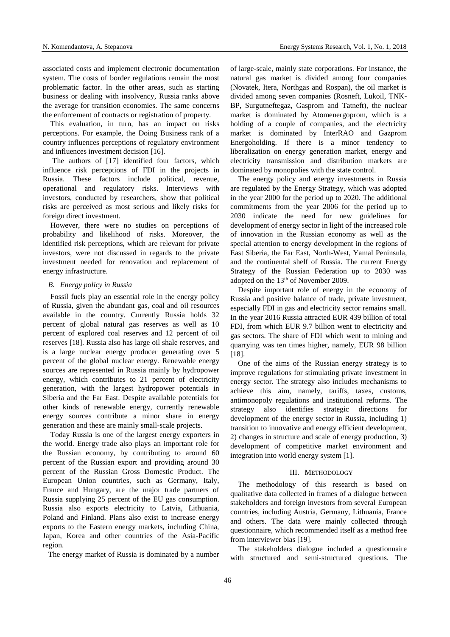associated costs and implement electronic documentation system. The costs of border regulations remain the most problematic factor. In the other areas, such as starting business or dealing with insolvency, Russia ranks above the average for transition economies. The same concerns the enforcement of contracts or registration of property.

This evaluation, in turn, has an impact on risks perceptions. For example, the Doing Business rank of a country influences perceptions of regulatory environment and influences investment decision [16].

The authors of [17] identified four factors, which influence risk perceptions of FDI in the projects in Russia. These factors include political, revenue, operational and regulatory risks. Interviews with investors, conducted by researchers, show that political risks are perceived as most serious and likely risks for foreign direct investment.

However, there were no studies on perceptions of probability and likelihood of risks. Moreover, the identified risk perceptions, which are relevant for private investors, were not discussed in regards to the private investment needed for renovation and replacement of energy infrastructure.

# *B. Energy policy in Russia*

Fossil fuels play an essential role in the energy policy of Russia, given the abundant gas, coal and oil resources available in the country. Currently Russia holds 32 percent of global natural gas reserves as well as 10 percent of explored coal reserves and 12 percent of oil reserves [18]. Russia also has large oil shale reserves, and is a large nuclear energy producer generating over 5 percent of the global nuclear energy. Renewable energy sources are represented in Russia mainly by hydropower energy, which contributes to 21 percent of electricity generation, with the largest hydropower potentials in Siberia and the Far East. Despite available potentials for other kinds of renewable energy, currently renewable energy sources contribute a minor share in energy generation and these are mainly small-scale projects.

Today Russia is one of the largest energy exporters in the world. Energy trade also plays an important role for the Russian economy, by contributing to around 60 percent of the Russian export and providing around 30 percent of the Russian Gross Domestic Product. The European Union countries, such as Germany, Italy, France and Hungary, are the major trade partners of Russia supplying 25 percent of the EU gas consumption. Russia also exports electricity to Latvia, Lithuania, Poland and Finland. Plans also exist to increase energy exports to the Eastern energy markets, including China, Japan, Korea and other countries of the Asia-Pacific region.

The energy market of Russia is dominated by a number

of large-scale, mainly state corporations. For instance, the natural gas market is divided among four companies (Novatek, Itera, Northgas and Rospan), the oil market is divided among seven companies (Rosneft, Lukoil, TNK-BP, Surgutneftegaz, Gasprom and Tatneft), the nuclear market is dominated by Atomenergoprom, which is a holding of a couple of companies, and the electricity market is dominated by InterRAO and Gazprom Energoholding. If there is a minor tendency to liberalization on energy generation market, energy and electricity transmission and distribution markets are dominated by monopolies with the state control.

The energy policy and energy investments in Russia are regulated by the Energy Strategy, which was adopted in the year 2000 for the period up to 2020. The additional commitments from the year 2006 for the period up to 2030 indicate the need for new guidelines for development of energy sector in light of the increased role of innovation in the Russian economy as well as the special attention to energy development in the regions of East Siberia, the Far East, North-West, Yamal Peninsula, and the continental shelf of Russia. The current Energy Strategy of the Russian Federation up to 2030 was adopted on the 13<sup>th</sup> of November 2009.

Despite important role of energy in the economy of Russia and positive balance of trade, private investment, especially FDI in gas and electricity sector remains small. In the year 2016 Russia attracted EUR 439 billion of total FDI, from which EUR 9.7 billion went to electricity and gas sectors. The share of FDI which went to mining and quarrying was ten times higher, namely, EUR 98 billion [18].

One of the aims of the Russian energy strategy is to improve regulations for stimulating private investment in energy sector. The strategy also includes mechanisms to achieve this aim, namely, tariffs, taxes, customs, antimonopoly regulations and institutional reforms. The strategy also identifies strategic directions for development of the energy sector in Russia, including 1) transition to innovative and energy efficient development, 2) changes in structure and scale of energy production, 3) development of competitive market environment and integration into world energy system [1].

#### III. METHODOLOGY

The methodology of this research is based on qualitative data collected in frames of a dialogue between stakeholders and foreign investors from several European countries, including Austria, Germany, Lithuania, France and others. The data were mainly collected through questionnaire, which recommended itself as a method free from interviewer bias [19].

The stakeholders dialogue included a questionnaire with structured and semi-structured questions. The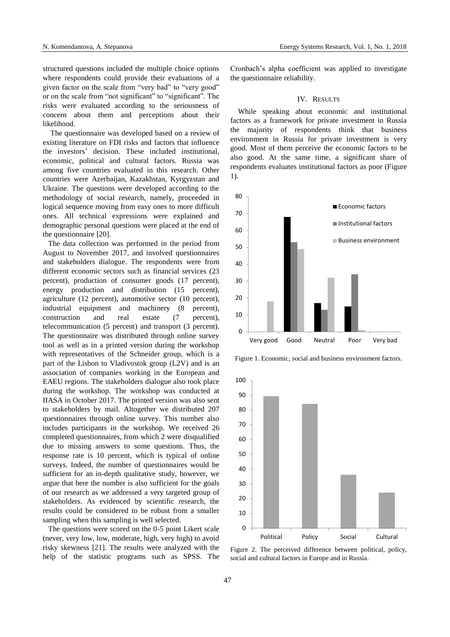structured questions included the multiple choice options where respondents could provide their evaluations of a given factor on the scale from "very bad" to "very good" or on the scale from "not significant" to "significant". The risks were evaluated according to the seriousness of concern about them and perceptions about their likelihood.

The questionnaire was developed based on a review of existing literature on FDI risks and factors that influence the investors' decision. These included institutional, economic, political and cultural factors. Russia was among five countries evaluated in this research. Other countries were Azerbaijan, Kazakhstan, Kyrgyzstan and Ukraine. The questions were developed according to the methodology of social research, namely, proceeded in logical sequence moving from easy ones to more difficult ones. All technical expressions were explained and demographic personal questions were placed at the end of the questionnaire [20].

The data collection was performed in the period from August to November 2017, and involved questionnaires and stakeholders dialogue. The respondents were from different economic sectors such as financial services (23 percent), production of consumer goods (17 percent), energy production and distribution  $(15$  percent), agriculture (12 percent), automotive sector (10 percent), industrial equipment and machinery (8 percent), construction and real estate (7 percent), telecommunication (5 percent) and transport (3 percent). The questionnaire was distributed through online survey tool as well as in a printed version during the workshop with representatives of the Schneider group, which is a part of the Lisbon to Vladivostok group (L2V) and is an association of companies working in the European and EAEU regions. The stakeholders dialogue also took place during the workshop. The workshop was conducted at IIASA in October 2017. The printed version was also sent to stakeholders by mail. Altogether we distributed 207 questionnaires through online survey. This number also includes participants in the workshop. We received 26 completed questionnaires, from which 2 were disqualified due to missing answers to some questions. Thus, the response rate is 10 percent, which is typical of online surveys. Indeed, the number of questionnaires would be sufficient for an in-depth qualitative study, however, we argue that here the number is also sufficient for the goals of our research as we addressed a very targeted group of stakeholders. As evidenced by scientific research, the results could be considered to be robust from a smaller sampling when this sampling is well selected.

The questions were scored on the 0-5 point Likert scale (never, very low, low, moderate, high, very high) to avoid risky skewness [21]. The results were analyzed with the help of the statistic programs such as SPSS. The Cronbach's alpha coefficient was applied to investigate the questionnaire reliability.

## IV. RESULTS

While speaking about economic and institutional factors as a framework for private investment in Russia the majority of respondents think that business environment in Russia for private investment is very good. Most of them perceive the economic factors to be also good. At the same time, a significant share of respondents evaluates institutional factors as poor (Figure 1).



Figure 1. Economic, social and business environment factors.



Figure 2. The perceived difference between political, policy, social and cultural factors in Europe and in Russia.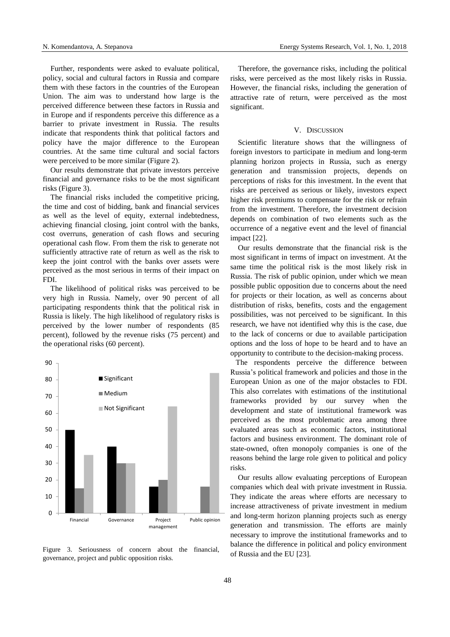Further, respondents were asked to evaluate political, policy, social and cultural factors in Russia and compare them with these factors in the countries of the European Union. The aim was to understand how large is the perceived difference between these factors in Russia and in Europe and if respondents perceive this difference as a barrier to private investment in Russia. The results indicate that respondents think that political factors and policy have the major difference to the European countries. At the same time cultural and social factors were perceived to be more similar (Figure 2).

Our results demonstrate that private investors perceive financial and governance risks to be the most significant risks (Figure 3).

The financial risks included the competitive pricing, the time and cost of bidding, bank and financial services as well as the level of equity, external indebtedness, achieving financial closing, joint control with the banks, cost overruns, generation of cash flows and securing operational cash flow. From them the risk to generate not sufficiently attractive rate of return as well as the risk to keep the joint control with the banks over assets were perceived as the most serious in terms of their impact on FDI.

The likelihood of political risks was perceived to be very high in Russia. Namely, over 90 percent of all participating respondents think that the political risk in Russia is likely. The high likelihood of regulatory risks is perceived by the lower number of respondents (85 percent), followed by the revenue risks (75 percent) and the operational risks (60 percent).



Figure 3. Seriousness of concern about the financial, governance, project and public opposition risks.

Therefore, the governance risks, including the political risks, were perceived as the most likely risks in Russia. However, the financial risks, including the generation of attractive rate of return, were perceived as the most significant.

## V. DISCUSSION

Scientific literature shows that the willingness of foreign investors to participate in medium and long-term planning horizon projects in Russia, such as energy generation and transmission projects, depends on perceptions of risks for this investment. In the event that risks are perceived as serious or likely, investors expect higher risk premiums to compensate for the risk or refrain from the investment. Therefore, the investment decision depends on combination of two elements such as the occurrence of a negative event and the level of financial impact [22].

Our results demonstrate that the financial risk is the most significant in terms of impact on investment. At the same time the political risk is the most likely risk in Russia. The risk of public opinion, under which we mean possible public opposition due to concerns about the need for projects or their location, as well as concerns about distribution of risks, benefits, costs and the engagement possibilities, was not perceived to be significant. In this research, we have not identified why this is the case, due to the lack of concerns or due to available participation options and the loss of hope to be heard and to have an opportunity to contribute to the decision-making process.

The respondents perceive the difference between Russia's political framework and policies and those in the European Union as one of the major obstacles to FDI. This also correlates with estimations of the institutional frameworks provided by our survey when the development and state of institutional framework was perceived as the most problematic area among three evaluated areas such as economic factors, institutional factors and business environment. The dominant role of state-owned, often monopoly companies is one of the reasons behind the large role given to political and policy risks.

Our results allow evaluating perceptions of European companies which deal with private investment in Russia. They indicate the areas where efforts are necessary to increase attractiveness of private investment in medium and long-term horizon planning projects such as energy generation and transmission. The efforts are mainly necessary to improve the institutional frameworks and to balance the difference in political and policy environment of Russia and the EU [23].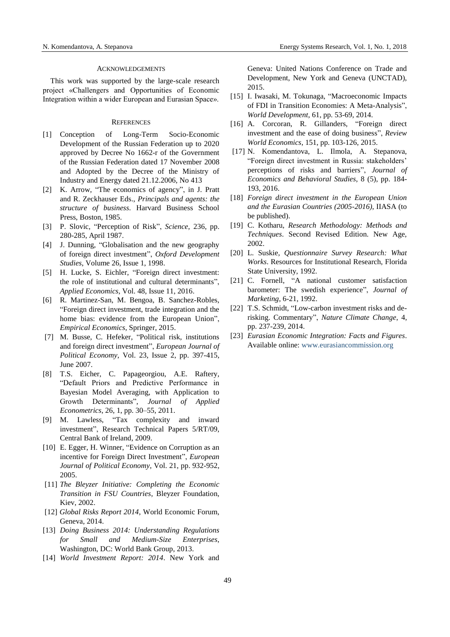# ACKNOWLEDGEMENTS

This work was supported by the large-scale research project «Challengers and Opportunities of Economic Integration within a wider European and Eurasian Space».

## **REFERENCES**

- [1] Conception of Long-Term Socio-Economic Development of the Russian Federation up to 2020 approved by Decree No 1662-r of the Government of the Russian Federation dated 17 November 2008 and Adopted by the Decree of the Ministry of Industry and Energy dated 21.12.2006, No 413
- [2] K. Arrow, "The economics of agency", in J. Pratt and R. Zeckhauser Eds., *Principals and agents: the structure of business*. Harvard Business School Press, Boston, 1985.
- [3] P. Slovic, "Perception of Risk", *Science*, 236, pp. 280-285, April 1987.
- [4] J. Dunning, "Globalisation and the new geography of foreign direct investment", *Oxford Development Studies*, Volume 26, Issue 1, 1998.
- [5] H. Lucke, S. Eichler, "Foreign direct investment: the role of institutional and cultural determinants", *Applied Economics*, Vol. 48, Issue 11, 2016.
- [6] R. Martinez-San, M. Bengoa, B. Sanchez-Robles, "Foreign direct investment, trade integration and the home bias: evidence from the European Union", *Empirical Economics*, Springer, 2015.
- [7] M. Busse, C. Hefeker, "Political risk, institutions and foreign direct investment", *European Journal of Political Economy*, Vol. 23, Issue 2, pp. 397-415, June 2007.
- [8] T.S. Eicher, C. Papageorgiou, A.E. Raftery, "Default Priors and Predictive Performance in Bayesian Model Averaging, with Application to Growth Determinants", *Journal of Applied Econometrics*, 26, 1, pp. 30–55, 2011.
- [9] M. Lawless, "Tax complexity and inward investment", Research Technical Papers 5/RT/09, Central Bank of Ireland, 2009.
- [10] E. Egger, H. Winner, "Evidence on Corruption as an incentive for Foreign Direct Investment", *European Journal of Political Economy*, Vol. 21, pp. 932-952, 2005.
- [11] *The Bleyzer Initiative: Completing the Economic Transition in FSU Countries*, Bleyzer Foundation, Kiev, 2002.
- [12] *Global Risks Report 2014*, World Economic Forum, Geneva, 2014.
- [13] *Doing Business 2014: Understanding Regulations for Small and Medium-Size Enterprises*, Washington, DC: World Bank Group, 2013.
- [14] *World Investment Report: 2014*. New York and

Geneva: United Nations Conference on Trade and Development, New York and Geneva (UNCTAD), 2015.

- [15] I. Iwasaki, M. Tokunaga, "Macroeconomic Impacts of FDI in Transition Economies: A Meta-Analysis", *World Development*, 61, pp. 53-69, 2014.
- [16] A. Corcoran, R. Gillanders, "Foreign direct investment and the ease of doing business", *Review World Economics*, 151, pp. 103-126, 2015.
- [17] N. Komendantova, L. Ilmola, A. Stepanova, "Foreign direct investment in Russia: stakeholders' perceptions of risks and barriers", *Journal of Economics and Behavioral Studies*, 8 (5), pp. 184- 193, 2016.
- [18] *Foreign direct investment in the European Union and the Eurasian Countries (2005-2016)*, IIASA (to be published).
- [19] C. Kotharu, *Research Methodology: Methods and Techniques*. Second Revised Edition. New Age, 2002.
- [20] L. Suskie, *Questionnaire Survey Research: What Works*. Resources for Institutional Research, Florida State University, 1992.
- [21] C. Fornell, "A national customer satisfaction barometer: The swedish experience", *Journal of Marketing*, 6-21, 1992.
- [22] T.S. Schmidt, "Low-carbon investment risks and derisking. Commentary", *Nature Climate Change*, 4, pp. 237-239, 2014.
- [23] *Eurasian Economic Integration: Facts and Figures*. Available online: [www.eurasiancommission.org](http://www.eurasiancommission.org/)